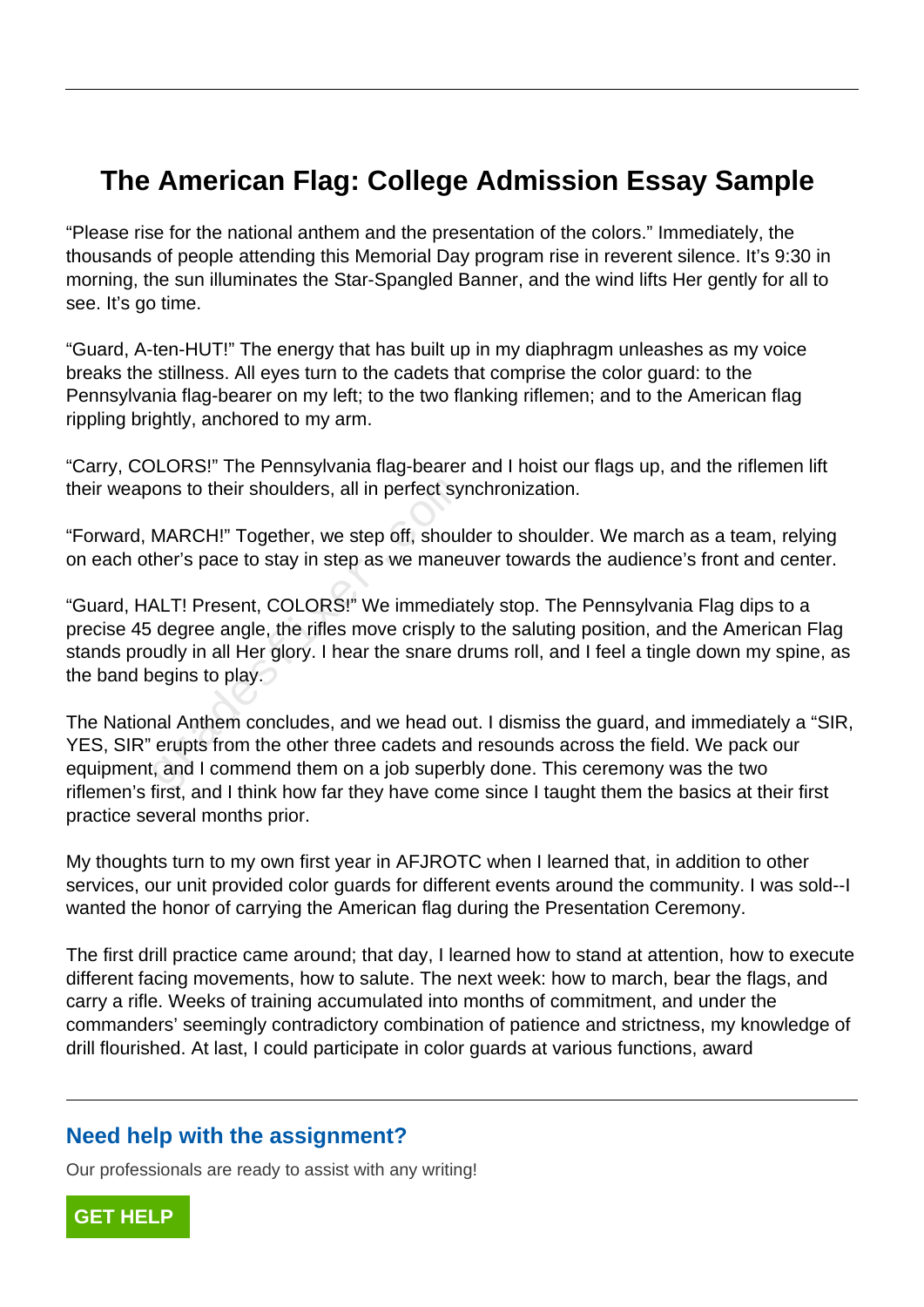## **The American Flag: College Admission Essay Sample**

"Please rise for the national anthem and the presentation of the colors." Immediately, the thousands of people attending this Memorial Day program rise in reverent silence. It's 9:30 in morning, the sun illuminates the Star-Spangled Banner, and the wind lifts Her gently for all to see. It's go time.

"Guard, A-ten-HUT!" The energy that has built up in my diaphragm unleashes as my voice breaks the stillness. All eyes turn to the cadets that comprise the color guard: to the Pennsylvania flag-bearer on my left; to the two flanking riflemen; and to the American flag rippling brightly, anchored to my arm.

"Carry, COLORS!" The Pennsylvania flag-bearer and I hoist our flags up, and the riflemen lift their weapons to their shoulders, all in perfect synchronization.

"Forward, MARCH!" Together, we step off, shoulder to shoulder. We march as a team, relying on each other's pace to stay in step as we maneuver towards the audience's front and center.

"Guard, HALT! Present, COLORS!" We immediately stop. The Pennsylvania Flag dips to a precise 45 degree angle, the rifles move crisply to the saluting position, and the American Flag stands proudly in all Her glory. I hear the snare drums roll, and I feel a tingle down my spine, as the band begins to play. ons to their shoulders, all in perfect syr<br>
MARCH!" Together, we step off, should<br>
ther's pace to stay in step as we manet<br>
ALT! Present, COLORS!" We immediat<br>
degree angle, the rifles move crisply to<br>
udly in all Her glor

The National Anthem concludes, and we head out. I dismiss the guard, and immediately a "SIR, YES, SIR" erupts from the other three cadets and resounds across the field. We pack our equipment, and I commend them on a job superbly done. This ceremony was the two riflemen's first, and I think how far they have come since I taught them the basics at their first practice several months prior.

My thoughts turn to my own first year in AFJROTC when I learned that, in addition to other services, our unit provided color guards for different events around the community. I was sold--I wanted the honor of carrying the American flag during the Presentation Ceremony.

The first drill practice came around; that day, I learned how to stand at attention, how to execute different facing movements, how to salute. The next week: how to march, bear the flags, and carry a rifle. Weeks of training accumulated into months of commitment, and under the commanders' seemingly contradictory combination of patience and strictness, my knowledge of drill flourished. At last, I could participate in color guards at various functions, award

## **Need help with the assignment?**

Our professionals are ready to assist with any writing!